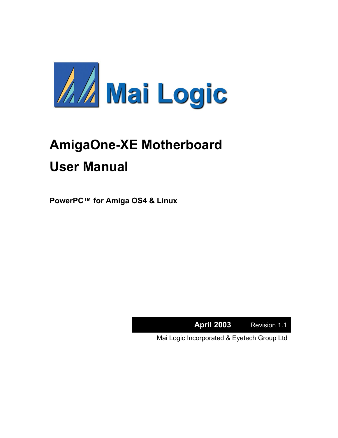

# **AmigaOne-XE Motherboard User Manual**

**PowerPC™ for Amiga OS4 & Linux** 

**April 2003** Revision 1.1

Mai Logic Incorporated & Eyetech Group Ltd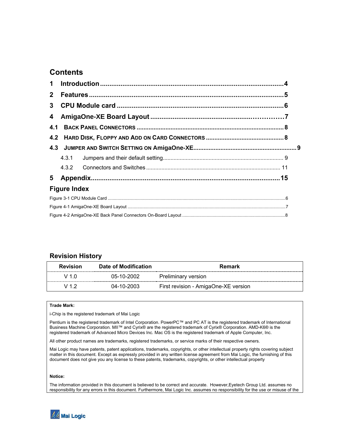## **Contents**

| $\mathbf 1$         |       |  |  |  |  |  |  |
|---------------------|-------|--|--|--|--|--|--|
| $\mathbf{2}$        |       |  |  |  |  |  |  |
| 3                   |       |  |  |  |  |  |  |
| 4                   |       |  |  |  |  |  |  |
| 4.1                 |       |  |  |  |  |  |  |
| 4.2                 |       |  |  |  |  |  |  |
|                     |       |  |  |  |  |  |  |
|                     | 4.3.1 |  |  |  |  |  |  |
|                     | 4.3.2 |  |  |  |  |  |  |
|                     |       |  |  |  |  |  |  |
| <b>Figure Index</b> |       |  |  |  |  |  |  |
|                     |       |  |  |  |  |  |  |
|                     |       |  |  |  |  |  |  |
|                     |       |  |  |  |  |  |  |

## **Revision History**

| <b>Revision</b> | Date of Modification | Remark                               |
|-----------------|----------------------|--------------------------------------|
| $\sqrt{1.0}$    | 05-10-2002           | Preliminary version                  |
| V 1 2           | 04-10-2003           | First revision - AmigaOne-XE version |

#### **Trade Mark:**

i-Chip is the registered trademark of Mai Logic

Pentium is the registered trademark of Intel Corporation. PowerPC™ and PC AT is the registered trademark of International Business Machine Corporation. MII™ and Cyrix® are the registered trademark of Cyrix® Corporation. AMD-K6® is the registered trademark of Advanced Micro Devices Inc. Mac OS is the registered trademark of Apple Computer, Inc.

All other product names are trademarks, registered trademarks, or service marks of their respective owners.

Mai Logic may have patents, patent applications, trademarks, copyrights, or other intellectual property rights covering subject matter in this document. Except as expressly provided in any written license agreement from Mai Logic, the furnishing of this document does not give you any license to these patents, trademarks, copyrights, or other intellectual property

#### **Notice:**

The information provided in this document is believed to be correct and accurate. However,Eyetech Group Ltd. assumes no responsibility for any errors in this document. Furthermore, Mai Logic Inc. assumes no responsibility for the use or misuse of the

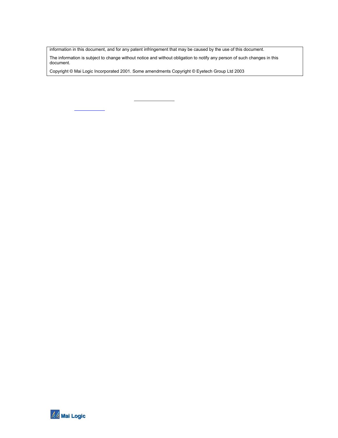information in this document, and for any patent infringement that may be caused by the use of this document.

The information is subject to change without notice and without obligation to notify any person of such changes in this document.

Copyright © Mai Logic Incorporated 2001. Some amendments Copyright © Eyetech Group Ltd 2003

**AA** Mai Logic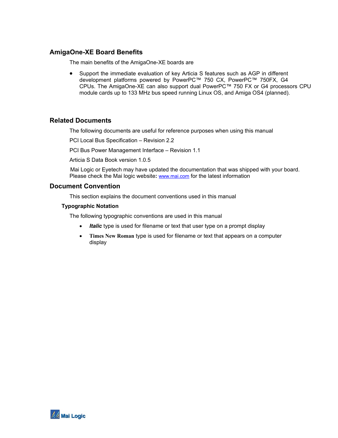## **AmigaOne-XE Board Benefits**

The main benefits of the AmigaOne-XE boards are

• Support the immediate evaluation of key Articia S features such as AGP in different development platforms powered by PowerPC™ 750 CX, PowerPC™ 750FX, G4 CPUs. The AmigaOne-XE can also support dual PowerPC™ 750 FX or G4 processors CPU module cards up to 133 MHz bus speed running Linux OS, and Amiga OS4 (planned).

#### **Related Documents**

The following documents are useful for reference purposes when using this manual

PCI Local Bus Specification – Revision 2.2

PCI Bus Power Management Interface – Revision 1.1

Articia S Data Book version 1.0.5

Mai Logic or Eyetech may have updated the documentation that was shipped with your board. Please check the Mai logic website**:** [www.mai.com](http://www.mai.com/) for the latest information

#### **Document Convention**

This section explains the document conventions used in this manual

#### **Typographic Notation**

The following typographic conventions are used in this manual

- *Italic* type is used for filename or text that user type on a prompt display
- **Times New Roman** type is used for filename or text that appears on a computer display

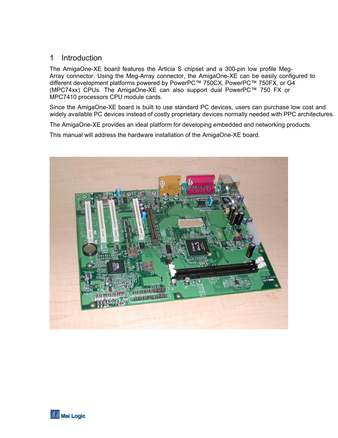## <span id="page-4-0"></span>1 Introduction

The AmigaOne-XE board features the Articia S chipset and a 300-pin low profile Meg-Array connector. Using the Meg-Array connector, the AmigaOne-XE can be easily configured to different development platforms powered by PowerPC™ 750CX, PowerPC™ 750FX, or G4 (MPC74xx) CPUs. The AmigaOne-XE can also support dual PowerPC™ 750 FX or MPC7410 processors CPU module cards.

Since the AmigaOne-XE board is built to use standard PC devices, users can purchase low cost and widely available PC devices instead of costly proprietary devices normally needed with PPC architectures.

The AmigaOne-XE provides an ideal platform for developing embedded and networking products.

This manual will address the hardware installation of the AmigaOne-XE board.



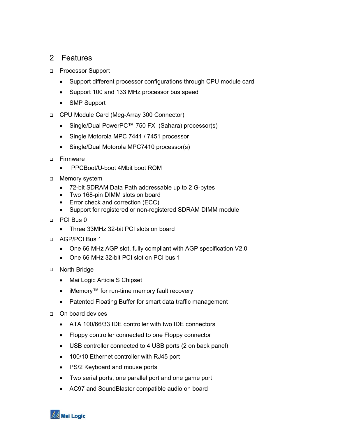## <span id="page-5-0"></span>2 Features

- **Processor Support** 
	- Support different processor configurations through CPU module card
	- Support 100 and 133 MHz processor bus speed
	- SMP Support
- CPU Module Card (Meg-Array 300 Connector)
	- Single/Dual PowerPC™ 750 FX (Sahara) processor(s)
	- Single Motorola MPC 7441 / 7451 processor
	- Single/Dual Motorola MPC7410 processor(s)
- □ Firmware
	- PPCBoot/U-boot 4Mbit boot ROM
- Memory system
	- 72-bit SDRAM Data Path addressable up to 2 G-bytes
	- Two 168-pin DIMM slots on board
	- Error check and correction (ECC)
	- Support for registered or non-registered SDRAM DIMM module
- D PCI Bus 0
	- Three 33MHz 32-bit PCI slots on board
- AGP/PCI Bus 1
	- One 66 MHz AGP slot, fully compliant with AGP specification V2.0
	- One 66 MHz 32-bit PCI slot on PCI bus 1
- North Bridge
	- Mai Logic Articia S Chipset
	- iMemory™ for run-time memory fault recovery
	- Patented Floating Buffer for smart data traffic management
- □ On board devices
	- ATA 100/66/33 IDE controller with two IDE connectors
	- Floppy controller connected to one Floppy connector
	- USB controller connected to 4 USB ports (2 on back panel)
	- 100/10 Ethernet controller with RJ45 port
	- PS/2 Keyboard and mouse ports
	- Two serial ports, one parallel port and one game port
	- AC97 and SoundBlaster compatible audio on board

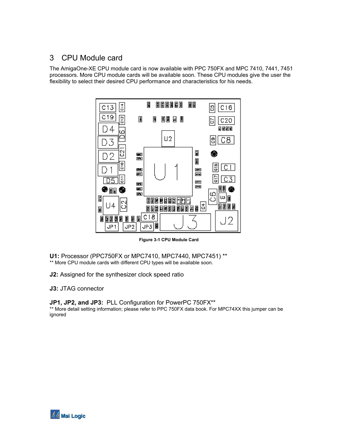## <span id="page-6-0"></span>3 CPU Module card

The AmigaOne-XE CPU module card is now available with PPC 750FX and MPC 7410, 7441, 7451 processors. More CPU module cards will be available soon. These CPU modules give the user the flexibility to select their desired CPU performance and characteristics for his needs.



**Figure 3-1 CPU Module Card**

**U1:** Processor (PPC750FX or MPC7410, MPC7440, MPC7451) \*\* \*\* More CPU module cards with different CPU types will be available soon.

**J2:** Assigned for the synthesizer clock speed ratio

**J3:** JTAG connector

**JP1, JP2, and JP3:** PLL Configuration for PowerPC 750FX\*\* \*\* More detail setting information; please refer to PPC 750FX data book. For MPC74XX this jumper can be ignored

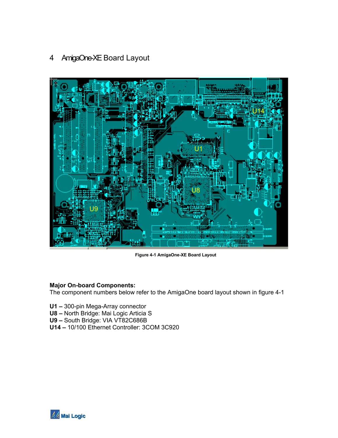# <span id="page-7-0"></span>4 AmigaOne-XE Board Layout



**Figure 4-1 AmigaOne-XE Board Layout** 

## **Major On-board Components:**

The component numbers below refer to the AmigaOne board layout shown in figure 4-1

- **U1** 300-pin Mega-Array connector
- **U8** North Bridge: Mai Logic Articia S
- **U9** South Bridge: VIA VT82C686B
- **U14** 10/100 Ethernet Controller: 3COM 3C920

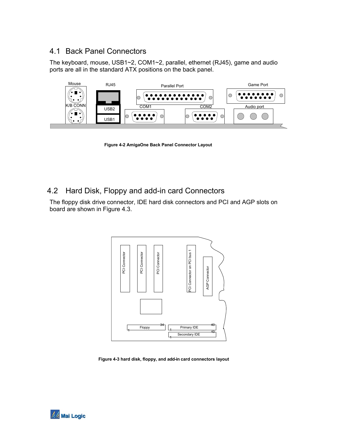## <span id="page-8-0"></span>4.1 Back Panel Connectors

The keyboard, mouse, USB1~2, COM1~2, parallel, ethernet (RJ45), game and audio ports are all in the standard ATX positions on the back panel.



**Figure 4-2 AmigaOne Back Panel Connector Layout** 

## 4.2 Hard Disk, Floppy and add-in card Connectors

The floppy disk drive connector, IDE hard disk connectors and PCI and AGP slots on board are shown in Figure 4.3.



**Figure 4-3 hard disk, floppy, and add-in card connectors layout** 

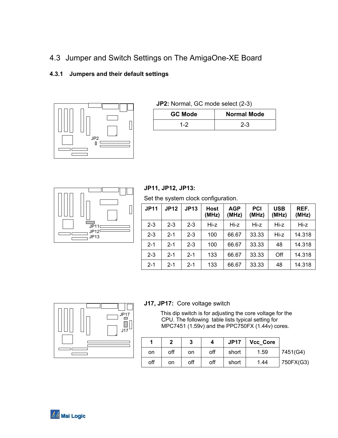<span id="page-9-0"></span>4.3 Jumper and Switch Settings on The AmigaOne-XE Board

## **4.3.1 Jumpers and their default settings**



**JP2:** Normal, GC mode select (2-3)

| <b>GC Mode</b> | <b>Normal Mode</b> |  |  |
|----------------|--------------------|--|--|
| 1-2            | $2 - 3$            |  |  |



## **JP11, JP12, JP13:**

Set the system clock configuration.

| <b>JP11</b> | <b>JP12</b> | <b>JP13</b> | <b>Host</b><br>(MHz) | <b>AGP</b><br>(MHz) | <b>PCI</b><br>(MHz) | <b>USB</b><br>(MHz) | REF.<br>(MHz) |
|-------------|-------------|-------------|----------------------|---------------------|---------------------|---------------------|---------------|
| $2 - 3$     | $2 - 3$     | $2 - 3$     | Hi-z                 | Hi-z                | Hi-z                | Hi-z                | Hi-z          |
| $2 - 3$     | $2 - 1$     | $2 - 3$     | 100                  | 66.67               | 33.33               | Hi-z                | 14.318        |
| $2 - 1$     | $2 - 1$     | $2 - 3$     | 100                  | 66.67               | 33.33               | 48                  | 14.318        |
| $2 - 3$     | $2 - 1$     | $2 - 1$     | 133                  | 66.67               | 33.33               | Off                 | 14.318        |
| $2 - 1$     | $2 - 1$     | $2 - 1$     | 133                  | 66.67               | 33.33               | 48                  | 14.318        |



### **J17, JP17:** Core voltage switch

This dip switch is for adjusting the core voltage for the CPU. The following table lists typical setting for MPC7451 (1.59v) and the PPC750FX (1.44v) cores.

|     |     | 3   |     | <b>JP17</b> | <b>Vcc Core</b> |           |
|-----|-----|-----|-----|-------------|-----------------|-----------|
| on  | off | on  | off | short       | 1.59            | 7451(G4)  |
| off | on  | off | off | short       | 1.44            | 750FX(G3) |

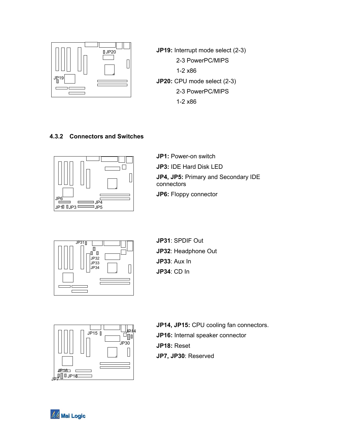<span id="page-10-0"></span>

**JP19:** Interrupt mode select (2-3) 2-3 PowerPC/MIPS 1-2 x86 **JP20:** CPU mode select (2-3) 2-3 PowerPC/MIPS 1-2 x86

## **4.3.2 Connectors and Switches**



**JP1: Power-on switch JP3:** IDE Hard Disk LED **JP4, JP5:** Primary and Secondary IDE connectors **JP6:** Floppy connector



**JP32**: Headphone Out **JP33**: Aux In **JP34**: CD In



**JP14, JP15:** CPU cooling fan connectors. **JP16:** Internal speaker connector **JP18:** Reset **JP7, JP30**: Reserved

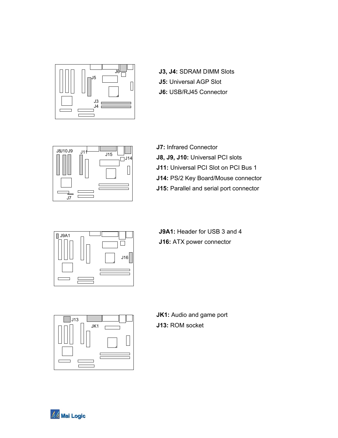

**J3, J4: SDRAM DIMM Slots J5:** Universal AGP Slot **J6:** USB/RJ45 Connector



**J7:** Infrared Connector **J8, J9, J10:** Universal PCI slots **J11:** Universal PCI Slot on PCI Bus 1 **J14:** PS/2 Key Board/Mouse connector **J15:** Parallel and serial port connector



**J9A1:** Header for USB 3 and 4 **J16:** ATX power connector



**JK1:** Audio and game port **J13:** ROM socket

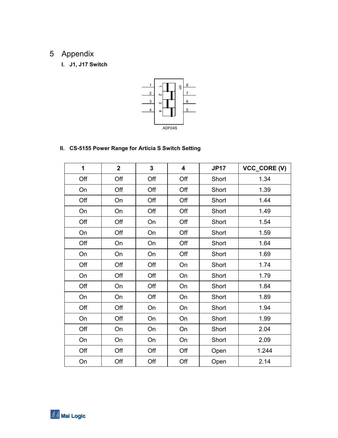# <span id="page-12-0"></span>5 Appendix

**I. J1, J17 Switch** 



## **II. CS-5155 Power Range for Articia S Switch Setting**

| 1   | $\overline{\mathbf{2}}$ | 3   | $\overline{\mathbf{4}}$ | <b>JP17</b> | VCC_CORE (V) |
|-----|-------------------------|-----|-------------------------|-------------|--------------|
| Off | Off                     | Off | Off                     | Short       | 1.34         |
| On  | Off                     | Off | Off                     | Short       | 1.39         |
| Off | On                      | Off | Off                     | Short       | 1.44         |
| On  | On                      | Off | Off                     | Short       | 1.49         |
| Off | Off                     | On  | Off                     | Short       | 1.54         |
| On  | Off                     | On  | Off                     | Short       | 1.59         |
| Off | On                      | On  | Off                     | Short       | 1.64         |
| On  | On                      | On  | Off                     | Short       | 1.69         |
| Off | Off                     | Off | On                      | Short       | 1.74         |
| On  | Off                     | Off | On                      | Short       | 1.79         |
| Off | On                      | Off | On                      | Short       | 1.84         |
| On  | On                      | Off | On                      | Short       | 1.89         |
| Off | Off                     | On  | On                      | Short       | 1.94         |
| On  | Off                     | On  | On                      | Short       | 1.99         |
| Off | On                      | On  | On                      | Short       | 2.04         |
| On  | On                      | On  | On                      | Short       | 2.09         |
| Off | Off                     | Off | Off                     | Open        | 1.244        |
| On  | Off                     | Off | Off                     | Open        | 2.14         |